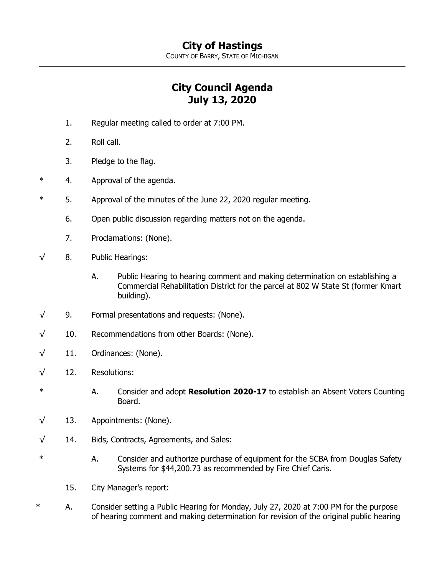COUNTY OF BARRY, STATE OF MICHIGAN

## **City Council Agenda July 13, 2020**

- 1. Regular meeting called to order at 7:00 PM.
- 2. Roll call.
- 3. Pledge to the flag.
- \* 4. Approval of the agenda.
- \* 5. Approval of the minutes of the June 22, 2020 regular meeting.
	- 6. Open public discussion regarding matters not on the agenda.
	- 7. Proclamations: (None).
- $\sqrt{8}$ . Public Hearings:
	- A. Public Hearing to hearing comment and making determination on establishing a Commercial Rehabilitation District for the parcel at 802 W State St (former Kmart building).
- √ 9. Formal presentations and requests: (None).
- $\sqrt{10}$ . Recommendations from other Boards: (None).
- $\sqrt{11}$ . Ordinances: (None).
- √ 12. Resolutions:
- \* A. Consider and adopt **Resolution 2020-17** to establish an Absent Voters Counting Board.
- $\sqrt{13}$ . Appointments: (None).
- √ 14. Bids, Contracts, Agreements, and Sales:
- \* A. Consider and authorize purchase of equipment for the SCBA from Douglas Safety Systems for \$44,200.73 as recommended by Fire Chief Caris.
	- 15. City Manager's report:
- \* A. Consider setting a Public Hearing for Monday, July 27, 2020 at 7:00 PM for the purpose of hearing comment and making determination for revision of the original public hearing